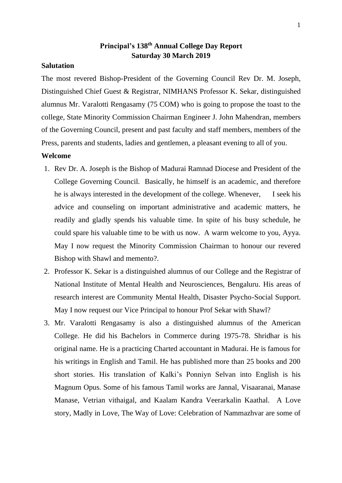# **Principal's 138th Annual College Day Report Saturday 30 March 2019**

### **Salutation**

The most revered Bishop-President of the Governing Council Rev Dr. M. Joseph, Distinguished Chief Guest & Registrar, NIMHANS Professor K. Sekar, distinguished alumnus Mr. Varalotti Rengasamy (75 COM) who is going to propose the toast to the college, State Minority Commission Chairman Engineer J. John Mahendran, members of the Governing Council, present and past faculty and staff members, members of the Press, parents and students, ladies and gentlemen, a pleasant evening to all of you.

#### **Welcome**

- 1. Rev Dr. A. Joseph is the Bishop of Madurai Ramnad Diocese and President of the College Governing Council. Basically, he himself is an academic, and therefore he is always interested in the development of the college. Whenever, I seek his advice and counseling on important administrative and academic matters, he readily and gladly spends his valuable time. In spite of his busy schedule, he could spare his valuable time to be with us now. A warm welcome to you, Ayya. May I now request the Minority Commission Chairman to honour our revered Bishop with Shawl and memento?.
- 2. Professor K. Sekar is a distinguished alumnus of our College and the Registrar of National Institute of Mental Health and Neurosciences, Bengaluru. His areas of research interest are Community Mental Health, Disaster Psycho-Social Support. May I now request our Vice Principal to honour Prof Sekar with Shawl?
- 3. Mr. Varalotti Rengasamy is also a distinguished alumnus of the American College. He did his Bachelors in Commerce during 1975-78. Shridhar is his original name. He is a practicing Charted accountant in Madurai. He is famous for his writings in English and Tamil. He has published more than 25 books and 200 short stories. His translation of Kalki's Ponniyn Selvan into English is his Magnum Opus. Some of his famous Tamil works are Jannal, Visaaranai, Manase Manase, Vetrian vithaigal, and Kaalam Kandra Veerarkalin Kaathal. A Love story, Madly in Love, The Way of Love: Celebration of Nammazhvar are some of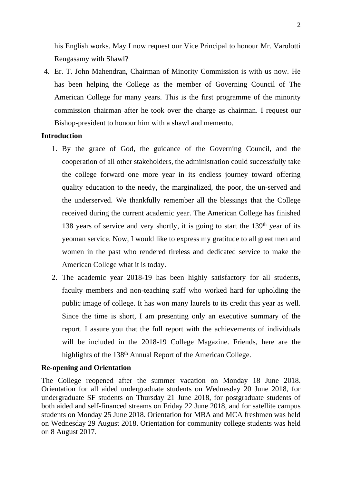his English works. May I now request our Vice Principal to honour Mr. Varolotti Rengasamy with Shawl?

4. Er. T. John Mahendran, Chairman of Minority Commission is with us now. He has been helping the College as the member of Governing Council of The American College for many years. This is the first programme of the minority commission chairman after he took over the charge as chairman. I request our Bishop-president to honour him with a shawl and memento.

### **Introduction**

- 1. By the grace of God, the guidance of the Governing Council, and the cooperation of all other stakeholders, the administration could successfully take the college forward one more year in its endless journey toward offering quality education to the needy, the marginalized, the poor, the un-served and the underserved. We thankfully remember all the blessings that the College received during the current academic year. The American College has finished 138 years of service and very shortly, it is going to start the 139<sup>th</sup> year of its yeoman service. Now, I would like to express my gratitude to all great men and women in the past who rendered tireless and dedicated service to make the American College what it is today.
- 2. The academic year 2018-19 has been highly satisfactory for all students, faculty members and non-teaching staff who worked hard for upholding the public image of college. It has won many laurels to its credit this year as well. Since the time is short, I am presenting only an executive summary of the report. I assure you that the full report with the achievements of individuals will be included in the 2018-19 College Magazine. Friends, here are the highlights of the 138<sup>th</sup> Annual Report of the American College.

### **Re-opening and Orientation**

The College reopened after the summer vacation on Monday 18 June 2018. Orientation for all aided undergraduate students on Wednesday 20 June 2018, for undergraduate SF students on Thursday 21 June 2018, for postgraduate students of both aided and self-financed streams on Friday 22 June 2018, and for satellite campus students on Monday 25 June 2018. Orientation for MBA and MCA freshmen was held on Wednesday 29 August 2018. Orientation for community college students was held on 8 August 2017.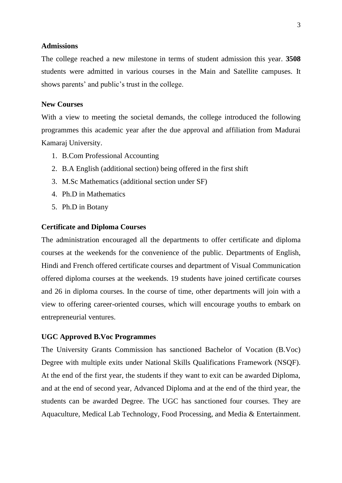### **Admissions**

The college reached a new milestone in terms of student admission this year. **3508**  students were admitted in various courses in the Main and Satellite campuses. It shows parents' and public's trust in the college.

#### **New Courses**

With a view to meeting the societal demands, the college introduced the following programmes this academic year after the due approval and affiliation from Madurai Kamaraj University.

- 1. B.Com Professional Accounting
- 2. B.A English (additional section) being offered in the first shift
- 3. M.Sc Mathematics (additional section under SF)
- 4. Ph.D in Mathematics
- 5. Ph.D in Botany

#### **Certificate and Diploma Courses**

The administration encouraged all the departments to offer certificate and diploma courses at the weekends for the convenience of the public. Departments of English, Hindi and French offered certificate courses and department of Visual Communication offered diploma courses at the weekends. 19 students have joined certificate courses and 26 in diploma courses. In the course of time, other departments will join with a view to offering career-oriented courses, which will encourage youths to embark on entrepreneurial ventures.

#### **UGC Approved B.Voc Programmes**

The University Grants Commission has sanctioned Bachelor of Vocation (B.Voc) Degree with multiple exits under National Skills Qualifications Framework (NSQF). At the end of the first year, the students if they want to exit can be awarded Diploma, and at the end of second year, Advanced Diploma and at the end of the third year, the students can be awarded Degree. The UGC has sanctioned four courses. They are Aquaculture, Medical Lab Technology, Food Processing, and Media & Entertainment.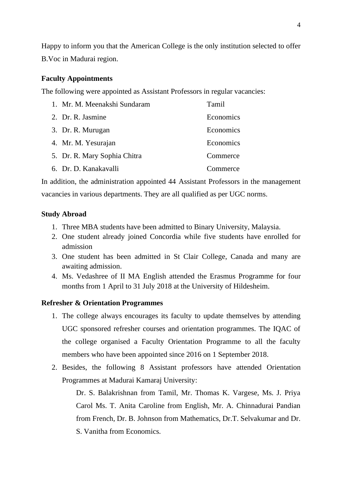Happy to inform you that the American College is the only institution selected to offer B.Voc in Madurai region.

### **Faculty Appointments**

The following were appointed as Assistant Professors in regular vacancies:

| 1. Mr. M. Meenakshi Sundaram | Tamil     |
|------------------------------|-----------|
| 2. Dr. R. Jasmine            | Economics |
| 3. Dr. R. Murugan            | Economics |
| 4. Mr. M. Yesurajan          | Economics |
| 5. Dr. R. Mary Sophia Chitra | Commerce  |
| 6. Dr. D. Kanakavalli        | Commerce  |

In addition, the administration appointed 44 Assistant Professors in the management vacancies in various departments. They are all qualified as per UGC norms.

### **Study Abroad**

- 1. Three MBA students have been admitted to Binary University, Malaysia.
- 2. One student already joined Concordia while five students have enrolled for admission
- 3. One student has been admitted in St Clair College, Canada and many are awaiting admission.
- 4. Ms. Vedashree of II MA English attended the Erasmus Programme for four months from 1 April to 31 July 2018 at the University of Hildesheim.

# **Refresher & Orientation Programmes**

- 1. The college always encourages its faculty to update themselves by attending UGC sponsored refresher courses and orientation programmes. The IQAC of the college organised a Faculty Orientation Programme to all the faculty members who have been appointed since 2016 on 1 September 2018.
- 2. Besides, the following 8 Assistant professors have attended Orientation Programmes at Madurai Kamaraj University:

Dr. S. Balakrishnan from Tamil, Mr. Thomas K. Vargese, Ms. J. Priya Carol Ms. T. Anita Caroline from English, Mr. A. Chinnadurai Pandian from French, Dr. B. Johnson from Mathematics, Dr.T. Selvakumar and Dr. S. Vanitha from Economics.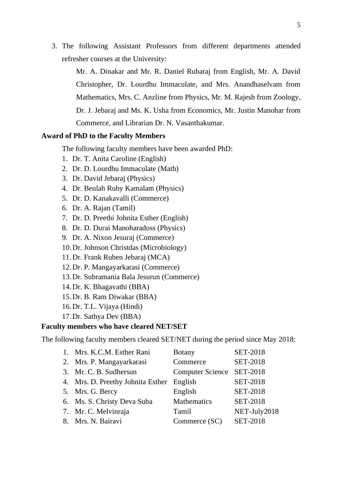3. The following Assistant Professors from different departments attended refresher courses at the University:

Mr. A. Dinakar and Mr. R. Daniel Rubaraj from English, Mr. A. David Christopher, Dr. Lourdhu Immaculate, and Mrs. Anandhaselvam from Mathematics, Mrs. C. Anzline from Physics, Mr. M. Rajesh from Zoology, Dr. J. Jebaraj and Ms. K. Usha from Economics, Mr. Justin Manohar from Commerce, and Librarian Dr. N. Vasanthakumar.

### **Award of PhD to the Faculty Members**

The following faculty members have been awarded PhD:

- 1. Dr. T. Anita Caroline (English)
- 2. Dr. D. Lourdhu Immaculate (Math)
- 3. Dr. David Jebaraj (Physics)
- 4. Dr. Beulah Ruby Kamalam (Physics)
- 5. Dr. D. Kanakavalli (Commerce)
- 6. Dr. A. Rajan (Tamil)
- 7. Dr. D. Preethi Johnita Esther (English)
- 8. Dr. D. Durai Manoharadoss (Physics)
- 9. Dr. A. Nixon Jesuraj (Commerce)
- 10.Dr. Johnson Christdas (Microbiology)
- 11.Dr. Frank Ruben Jebaraj (MCA)
- 12.Dr. P. Mangayarkarasi (Commerce)
- 13.Dr. Subramania Bala Jesurun (Commerce)
- 14.Dr. K. Bhagavathi (BBA)
- 15.Dr. B. Ram Diwakar (BBA)
- 16.Dr. T.L. Vijaya (Hindi)
- 17.Dr. Sathya Dev (BBA)

# **Faculty members who have cleared NET/SET**

The following faculty members cleared SET/NET during the period since May 2018:

| 1. Mrs. K.C.M. Esther Rani                | <b>Botany</b>             | <b>SET-2018</b> |
|-------------------------------------------|---------------------------|-----------------|
| 2. Mrs. P. Mangayarkarasi                 | Commerce                  | <b>SET-2018</b> |
| 3. Mr. C. B. Sudhersun                    | Computer Science SET-2018 |                 |
| 4. Mrs. D. Preethy Johnita Esther English |                           | <b>SET-2018</b> |
| 5. Mrs. G. Bercy                          | English                   | <b>SET-2018</b> |
| 6. Ms. S. Christy Deva Suba               | Mathematics               | <b>SET-2018</b> |
| 7. Mr. C. Melvinraja                      | Tamil                     | NET-July2018    |
| 8. Mrs. N. Bairavi                        | Commerce (SC)             | <b>SET-2018</b> |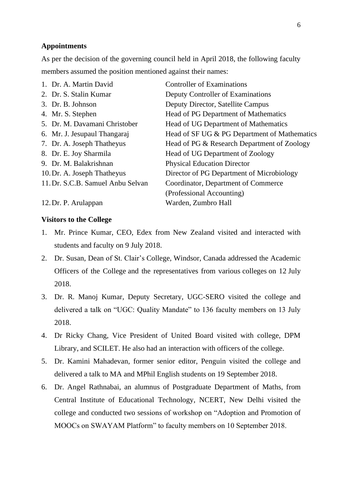### **Appointments**

As per the decision of the governing council held in April 2018, the following faculty members assumed the position mentioned against their names:

| 1. Dr. A. Martin David            | <b>Controller of Examinations</b>            |
|-----------------------------------|----------------------------------------------|
| 2. Dr. S. Stalin Kumar            | Deputy Controller of Examinations            |
| 3. Dr. B. Johnson                 | Deputy Director, Satellite Campus            |
| 4. Mr. S. Stephen                 | Head of PG Department of Mathematics         |
| 5. Dr. M. Davamani Christober     | Head of UG Department of Mathematics         |
| 6. Mr. J. Jesupaul Thangaraj      | Head of SF UG & PG Department of Mathematics |
| 7. Dr. A. Joseph Thatheyus        | Head of PG & Research Department of Zoology  |
| 8. Dr. E. Joy Sharmila            | Head of UG Department of Zoology             |
| 9. Dr. M. Balakrishnan            | <b>Physical Education Director</b>           |
| 10. Dr. A. Joseph Thatheyus       | Director of PG Department of Microbiology    |
| 11. Dr. S.C.B. Samuel Anbu Selvan | Coordinator, Department of Commerce          |
|                                   | (Professional Accounting)                    |
| 12. Dr. P. Arulappan              | Warden, Zumbro Hall                          |
|                                   |                                              |

### **Visitors to the College**

- 1. Mr. Prince Kumar, CEO, Edex from New Zealand visited and interacted with students and faculty on 9 July 2018.
- 2. Dr. Susan, Dean of St. Clair's College, Windsor, Canada addressed the Academic Officers of the College and the representatives from various colleges on 12 July 2018.
- 3. Dr. R. Manoj Kumar, Deputy Secretary, UGC-SERO visited the college and delivered a talk on "UGC: Quality Mandate" to 136 faculty members on 13 July 2018.
- 4. Dr Ricky Chang, Vice President of United Board visited with college, DPM Library, and SCILET. He also had an interaction with officers of the college.
- 5. Dr. Kamini Mahadevan, former senior editor, Penguin visited the college and delivered a talk to MA and MPhil English students on 19 September 2018.
- 6. Dr. Angel Rathnabai, an alumnus of Postgraduate Department of Maths, from Central Institute of Educational Technology, NCERT, New Delhi visited the college and conducted two sessions of workshop on "Adoption and Promotion of MOOCs on SWAYAM Platform" to faculty members on 10 September 2018.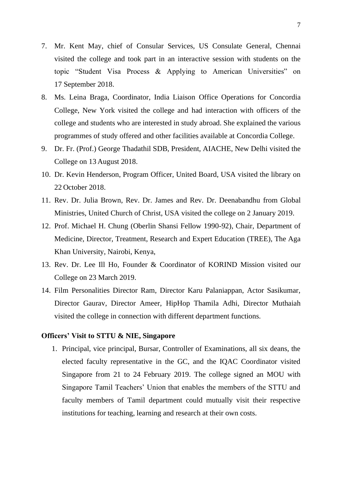- 7. Mr. Kent May, chief of Consular Services, US Consulate General, Chennai visited the college and took part in an interactive session with students on the topic "Student Visa Process & Applying to American Universities" on 17 September 2018.
- 8. Ms. Leina Braga, Coordinator, India Liaison Office Operations for Concordia College, New York visited the college and had interaction with officers of the college and students who are interested in study abroad. She explained the various programmes of study offered and other facilities available at Concordia College.
- 9. Dr. Fr. (Prof.) George Thadathil SDB, President, AIACHE, New Delhi visited the College on 13 August 2018.
- 10. Dr. Kevin Henderson, Program Officer, United Board, USA visited the library on 22 October 2018.
- 11. Rev. Dr. Julia Brown, Rev. Dr. James and Rev. Dr. Deenabandhu from Global Ministries, United Church of Christ, USA visited the college on 2 January 2019.
- 12. Prof. Michael H. Chung (Oberlin Shansi Fellow 1990-92), Chair, Department of Medicine, Director, Treatment, Research and Expert Education (TREE), The Aga Khan University, Nairobi, Kenya,
- 13. Rev. Dr. Lee Ill Ho, Founder & Coordinator of KORIND Mission visited our College on 23 March 2019.
- 14. Film Personalities Director Ram, Director Karu Palaniappan, Actor Sasikumar, Director Gaurav, Director Ameer, HipHop Thamila Adhi, Director Muthaiah visited the college in connection with different department functions.

### **Officers' Visit to STTU & NIE, Singapore**

1. Principal, vice principal, Bursar, Controller of Examinations, all six deans, the elected faculty representative in the GC, and the IQAC Coordinator visited Singapore from 21 to 24 February 2019. The college signed an MOU with Singapore Tamil Teachers' Union that enables the members of the STTU and faculty members of Tamil department could mutually visit their respective institutions for teaching, learning and research at their own costs.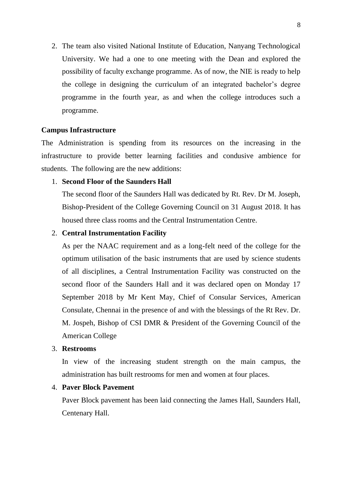2. The team also visited National Institute of Education, Nanyang Technological University. We had a one to one meeting with the Dean and explored the possibility of faculty exchange programme. As of now, the NIE is ready to help the college in designing the curriculum of an integrated bachelor's degree programme in the fourth year, as and when the college introduces such a programme.

### **Campus Infrastructure**

The Administration is spending from its resources on the increasing in the infrastructure to provide better learning facilities and condusive ambience for students. The following are the new additions:

### 1. **Second Floor of the Saunders Hall**

The second floor of the Saunders Hall was dedicated by Rt. Rev. Dr M. Joseph, Bishop-President of the College Governing Council on 31 August 2018. It has housed three class rooms and the Central Instrumentation Centre.

### 2. **Central Instrumentation Facility**

As per the NAAC requirement and as a long-felt need of the college for the optimum utilisation of the basic instruments that are used by science students of all disciplines, a Central Instrumentation Facility was constructed on the second floor of the Saunders Hall and it was declared open on Monday 17 September 2018 by Mr Kent May, Chief of Consular Services, American Consulate, Chennai in the presence of and with the blessings of the Rt Rev. Dr. M. Jospeh, Bishop of CSI DMR & President of the Governing Council of the American College

#### 3. **Restrooms**

In view of the increasing student strength on the main campus, the administration has built restrooms for men and women at four places.

# 4. **Paver Block Pavement**

Paver Block pavement has been laid connecting the James Hall, Saunders Hall, Centenary Hall.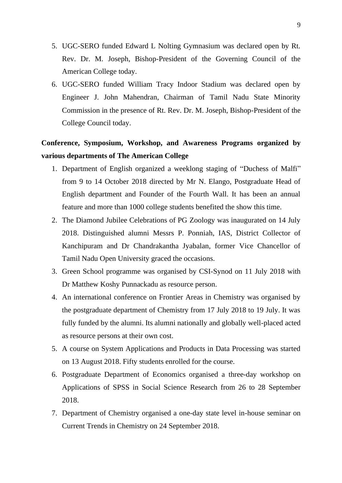- 5. UGC-SERO funded Edward L Nolting Gymnasium was declared open by Rt. Rev. Dr. M. Joseph, Bishop-President of the Governing Council of the American College today.
- 6. UGC-SERO funded William Tracy Indoor Stadium was declared open by Engineer J. John Mahendran, Chairman of Tamil Nadu State Minority Commission in the presence of Rt. Rev. Dr. M. Joseph, Bishop-President of the College Council today.

# **Conference, Symposium, Workshop, and Awareness Programs organized by various departments of The American College**

- 1. Department of English organized a weeklong staging of "Duchess of Malfi" from 9 to 14 October 2018 directed by Mr N. Elango, Postgraduate Head of English department and Founder of the Fourth Wall. It has been an annual feature and more than 1000 college students benefited the show this time.
- 2. The Diamond Jubilee Celebrations of PG Zoology was inaugurated on 14 July 2018. Distinguished alumni Messrs P. Ponniah, IAS, District Collector of Kanchipuram and Dr Chandrakantha Jyabalan, former Vice Chancellor of Tamil Nadu Open University graced the occasions.
- 3. Green School programme was organised by CSI-Synod on 11 July 2018 with Dr Matthew Koshy Punnackadu as resource person.
- 4. An international conference on Frontier Areas in Chemistry was organised by the postgraduate department of Chemistry from 17 July 2018 to 19 July. It was fully funded by the alumni. Its alumni nationally and globally well-placed acted as resource persons at their own cost.
- 5. A course on System Applications and Products in Data Processing was started on 13 August 2018. Fifty students enrolled for the course.
- 6. Postgraduate Department of Economics organised a three-day workshop on Applications of SPSS in Social Science Research from 26 to 28 September 2018.
- 7. Department of Chemistry organised a one-day state level in-house seminar on Current Trends in Chemistry on 24 September 2018.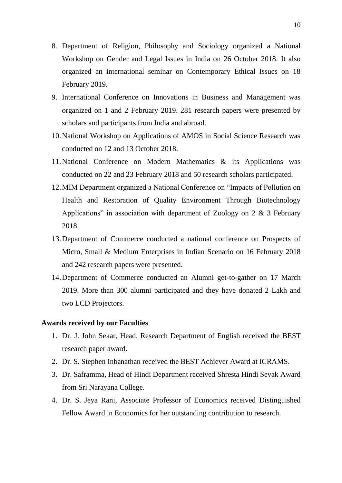- 8. Department of Religion, Philosophy and Sociology organized a National Workshop on Gender and Legal Issues in India on 26 October 2018. It also organized an international seminar on Contemporary Ethical Issues on 18 February 2019.
- 9. International Conference on Innovations in Business and Management was organized on 1 and 2 February 2019. 281 research papers were presented by scholars and participants from India and abroad.
- 10.National Workshop on Applications of AMOS in Social Science Research was conducted on 12 and 13 October 2018.
- 11.National Conference on Modern Mathematics & its Applications was conducted on 22 and 23 February 2018 and 50 research scholars participated.
- 12.MIM Department organized a National Conference on "Impacts of Pollution on Health and Restoration of Quality Environment Through Biotechnology Applications" in association with department of Zoology on 2 & 3 February 2018.
- 13.Department of Commerce conducted a national conference on Prospects of Micro, Small & Medium Enterprises in Indian Scenario on 16 February 2018 and 242 research papers were presented.
- 14.Department of Commerce conducted an Alumni get-to-gather on 17 March 2019. More than 300 alumni participated and they have donated 2 Lakh and two LCD Projectors.

### **Awards received by our Faculties**

- 1. Dr. J. John Sekar, Head, Research Department of English received the BEST research paper award.
- 2. Dr. S. Stephen Inbanathan received the BEST Achiever Award at ICRAMS.
- 3. Dr. Saframma, Head of Hindi Department received Shresta Hindi Sevak Award from Sri Narayana College.
- 4. Dr. S. Jeya Rani, Associate Professor of Economics received Distinguished Fellow Award in Economics for her outstanding contribution to research.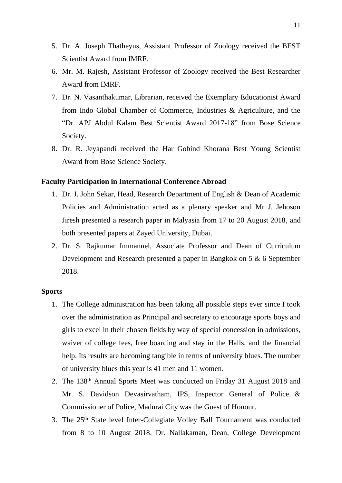- 5. Dr. A. Joseph Thatheyus, Assistant Professor of Zoology received the BEST Scientist Award from IMRF.
- 6. Mr. M. Rajesh, Assistant Professor of Zoology received the Best Researcher Award from IMRF.
- 7. Dr. N. Vasanthakumar, Librarian, received the Exemplary Educationist Award from Indo Global Chamber of Commerce, Industries & Agriculture, and the "Dr. APJ Abdul Kalam Best Scientist Award 2017-18" from Bose Science Society.
- 8. Dr. R. Jeyapandi received the Har Gobind Khorana Best Young Scientist Award from Bose Science Society.

### **Faculty Participation in International Conference Abroad**

- 1. Dr. J. John Sekar, Head, Research Department of English & Dean of Academic Policies and Administration acted as a plenary speaker and Mr J. Jehoson Jiresh presented a research paper in Malyasia from 17 to 20 August 2018, and both presented papers at Zayed University, Dubai.
- 2. Dr. S. Rajkumar Immanuel, Associate Professor and Dean of Curriculum Development and Research presented a paper in Bangkok on 5 & 6 September 2018.

### **Sports**

- 1. The College administration has been taking all possible steps ever since I took over the administration as Principal and secretary to encourage sports boys and girls to excel in their chosen fields by way of special concession in admissions, waiver of college fees, free boarding and stay in the Halls, and the financial help. Its results are becoming tangible in terms of university blues. The number of university blues this year is 41 men and 11 women.
- 2. The 138th Annual Sports Meet was conducted on Friday 31 August 2018 and Mr. S. Davidson Devasirvatham, IPS, Inspector General of Police & Commissioner of Police, Madurai City was the Guest of Honour.
- 3. The 25th State level Inter-Collegiate Volley Ball Tournament was conducted from 8 to 10 August 2018. Dr. Nallakaman, Dean, College Development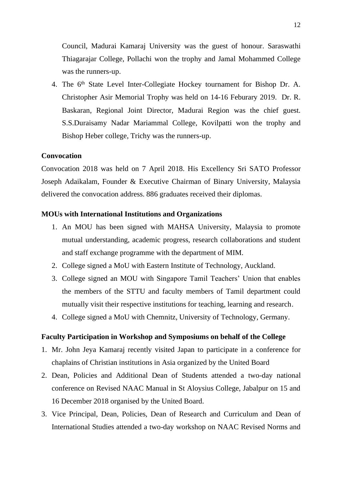Council, Madurai Kamaraj University was the guest of honour. Saraswathi Thiagarajar College, Pollachi won the trophy and Jamal Mohammed College was the runners-up.

4. The 6<sup>th</sup> State Level Inter-Collegiate Hockey tournament for Bishop Dr. A. Christopher Asir Memorial Trophy was held on 14-16 Feburary 2019. Dr. R. Baskaran, Regional Joint Director, Madurai Region was the chief guest. S.S.Duraisamy Nadar Mariammal College, Kovilpatti won the trophy and Bishop Heber college, Trichy was the runners-up.

### **Convocation**

Convocation 2018 was held on 7 April 2018. His Excellency Sri SATO Professor Joseph Adaikalam, Founder & Executive Chairman of Binary University, Malaysia delivered the convocation address. 886 graduates received their diplomas.

### **MOUs with International Institutions and Organizations**

- 1. An MOU has been signed with MAHSA University, Malaysia to promote mutual understanding, academic progress, research collaborations and student and staff exchange programme with the department of MIM.
- 2. College signed a MoU with Eastern Institute of Technology, Auckland.
- 3. College signed an MOU with Singapore Tamil Teachers' Union that enables the members of the STTU and faculty members of Tamil department could mutually visit their respective institutions for teaching, learning and research.
- 4. College signed a MoU with Chemnitz, University of Technology, Germany.

### **Faculty Participation in Workshop and Symposiums on behalf of the College**

- 1. Mr. John Jeya Kamaraj recently visited Japan to participate in a conference for chaplains of Christian institutions in Asia organized by the United Board
- 2. Dean, Policies and Additional Dean of Students attended a two-day national conference on Revised NAAC Manual in St Aloysius College, Jabalpur on 15 and 16 December 2018 organised by the United Board.
- 3. Vice Principal, Dean, Policies, Dean of Research and Curriculum and Dean of International Studies attended a two-day workshop on NAAC Revised Norms and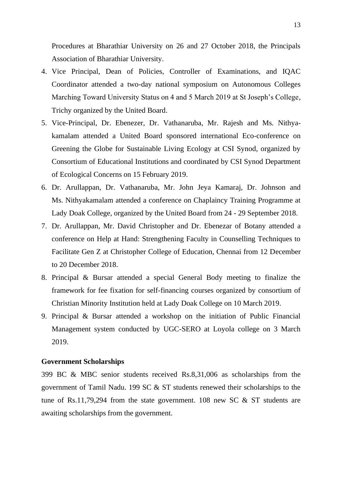Procedures at Bharathiar University on 26 and 27 October 2018, the Principals Association of Bharathiar University.

- 4. Vice Principal, Dean of Policies, Controller of Examinations, and IQAC Coordinator attended a two-day national symposium on Autonomous Colleges Marching Toward University Status on 4 and 5 March 2019 at St Joseph's College, Trichy organized by the United Board.
- 5. Vice-Principal, Dr. Ebenezer, Dr. Vathanaruba, Mr. Rajesh and Ms. Nithyakamalam attended a United Board sponsored international Eco-conference on Greening the Globe for Sustainable Living Ecology at CSI Synod, organized by Consortium of Educational Institutions and coordinated by CSI Synod Department of Ecological Concerns on 15 February 2019.
- 6. Dr. Arullappan, Dr. Vathanaruba, Mr. John Jeya Kamaraj, Dr. Johnson and Ms. Nithyakamalam attended a conference on Chaplaincy Training Programme at Lady Doak College, organized by the United Board from 24 - 29 September 2018.
- 7. Dr. Arullappan, Mr. David Christopher and Dr. Ebenezar of Botany attended a conference on Help at Hand: Strengthening Faculty in Counselling Techniques to Facilitate Gen Z at Christopher College of Education, Chennai from 12 December to 20 December 2018.
- 8. Principal & Bursar attended a special General Body meeting to finalize the framework for fee fixation for self-financing courses organized by consortium of Christian Minority Institution held at Lady Doak College on 10 March 2019.
- 9. Principal & Bursar attended a workshop on the initiation of Public Financial Management system conducted by UGC-SERO at Loyola college on 3 March 2019.

#### **Government Scholarships**

399 BC & MBC senior students received Rs.8,31,006 as scholarships from the government of Tamil Nadu. 199 SC & ST students renewed their scholarships to the tune of Rs.11,79,294 from the state government. 108 new SC  $\&$  ST students are awaiting scholarships from the government.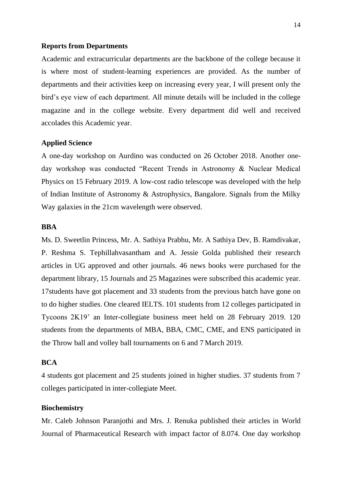#### **Reports from Departments**

Academic and extracurricular departments are the backbone of the college because it is where most of student-learning experiences are provided. As the number of departments and their activities keep on increasing every year, I will present only the bird's eye view of each department. All minute details will be included in the college magazine and in the college website. Every department did well and received accolades this Academic year.

### **Applied Science**

A one-day workshop on Aurdino was conducted on 26 October 2018. Another oneday workshop was conducted "Recent Trends in Astronomy & Nuclear Medical Physics on 15 February 2019. A low-cost radio telescope was developed with the help of Indian Institute of Astronomy & Astrophysics, Bangalore. Signals from the Milky Way galaxies in the 21cm wavelength were observed.

#### **BBA**

Ms. D. Sweetlin Princess, Mr. A. Sathiya Prabhu, Mr. A Sathiya Dev, B. Ramdivakar, P. Reshma S. Tephillahvasantham and A. Jessie Golda published their research articles in UG approved and other journals. 46 news books were purchased for the department library, 15 Journals and 25 Magazines were subscribed this academic year. 17students have got placement and 33 students from the previous batch have gone on to do higher studies. One cleared IELTS. 101 students from 12 colleges participated in Tycoons 2K19' an Inter-collegiate business meet held on 28 February 2019. 120 students from the departments of MBA, BBA, CMC, CME, and ENS participated in the Throw ball and volley ball tournaments on 6 and 7 March 2019.

### **BCA**

4 students got placement and 25 students joined in higher studies. 37 students from 7 colleges participated in inter-collegiate Meet.

#### **Biochemistry**

Mr. Caleb Johnson Paranjothi and Mrs. J. Renuka published their articles in World Journal of Pharmaceutical Research with impact factor of 8.074. One day workshop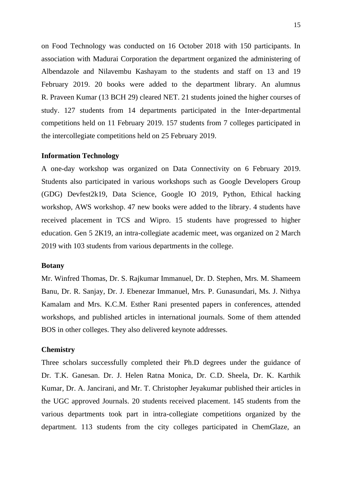on Food Technology was conducted on 16 October 2018 with 150 participants. In association with Madurai Corporation the department organized the administering of Albendazole and Nilavembu Kashayam to the students and staff on 13 and 19 February 2019. 20 books were added to the department library. An alumnus R. Praveen Kumar (13 BCH 29) cleared NET. 21 students joined the higher courses of study. 127 students from 14 departments participated in the Inter-departmental competitions held on 11 February 2019. 157 students from 7 colleges participated in the intercollegiate competitions held on 25 February 2019.

#### **Information Technology**

A one-day workshop was organized on Data Connectivity on 6 February 2019. Students also participated in various workshops such as Google Developers Group (GDG) Devfest2k19, Data Science, Google IO 2019, Python, Ethical hacking workshop, AWS workshop. 47 new books were added to the library. 4 students have received placement in TCS and Wipro. 15 students have progressed to higher education. Gen 5 2K19, an intra-collegiate academic meet, was organized on 2 March 2019 with 103 students from various departments in the college.

#### **Botany**

Mr. Winfred Thomas, Dr. S. Rajkumar Immanuel, Dr. D. Stephen, Mrs. M. Shameem Banu, Dr. R. Sanjay, Dr. J. Ebenezar Immanuel, Mrs. P. Gunasundari, Ms. J. Nithya Kamalam and Mrs. K.C.M. Esther Rani presented papers in conferences, attended workshops, and published articles in international journals. Some of them attended BOS in other colleges. They also delivered keynote addresses.

#### **Chemistry**

Three scholars successfully completed their Ph.D degrees under the guidance of Dr. T.K. Ganesan. Dr. [J. Helen Ratna Monica,](https://www.tandfonline.com/author/Monica%2C+J+Helen+Ratna) Dr. C.D. Sheela, Dr. K. Karthik Kumar, Dr. A. Jancirani, and Mr. T. Christopher Jeyakumar published their articles in the UGC approved Journals. 20 students received placement. 145 students from the various departments took part in intra-collegiate competitions organized by the department. 113 students from the city colleges participated in ChemGlaze, an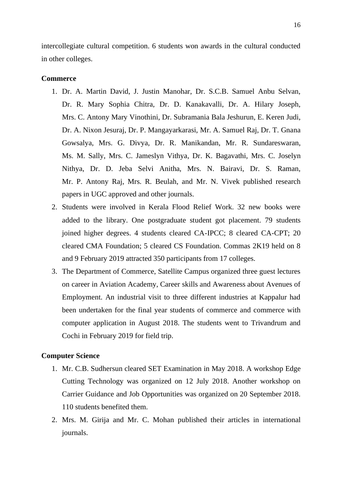intercollegiate cultural competition. 6 students won awards in the cultural conducted in other colleges.

### **Commerce**

- 1. Dr. A. Martin David, J. Justin Manohar, Dr. S.C.B. Samuel Anbu Selvan, Dr. R. Mary Sophia Chitra, Dr. D. Kanakavalli, Dr. A. Hilary Joseph, Mrs. C. Antony Mary Vinothini, Dr. Subramania Bala Jeshurun, E. Keren Judi, Dr. A. Nixon Jesuraj, Dr. P. Mangayarkarasi, Mr. A. Samuel Raj, Dr. T. Gnana Gowsalya, Mrs. G. Divya, Dr. R. Manikandan, Mr. R. Sundareswaran, Ms. M. Sally, Mrs. C. Jameslyn Vithya, Dr. K. Bagavathi, Mrs. C. Joselyn Nithya, Dr. D. Jeba Selvi Anitha, Mrs. N. Bairavi, Dr. S. Raman, Mr. P. Antony Raj, Mrs. R. Beulah, and Mr. N. Vivek published research papers in UGC approved and other journals.
- 2. Students were involved in Kerala Flood Relief Work. 32 new books were added to the library. One postgraduate student got placement. 79 students joined higher degrees. 4 students cleared CA-IPCC; 8 cleared CA-CPT; 20 cleared CMA Foundation; 5 cleared CS Foundation. Commas 2K19 held on 8 and 9 February 2019 attracted 350 participants from 17 colleges.
- 3. The Department of Commerce, Satellite Campus organized three guest lectures on career in Aviation Academy, Career skills and Awareness about Avenues of Employment. An industrial visit to three different industries at Kappalur had been undertaken for the final year students of commerce and commerce with computer application in August 2018. The students went to Trivandrum and Cochi in February 2019 for field trip.

### **Computer Science**

- 1. Mr. C.B. Sudhersun cleared SET Examination in May 2018. A workshop Edge Cutting Technology was organized on 12 July 2018. Another workshop on Carrier Guidance and Job Opportunities was organized on 20 September 2018. 110 students benefited them.
- 2. Mrs. M. Girija and Mr. C. Mohan published their articles in international journals.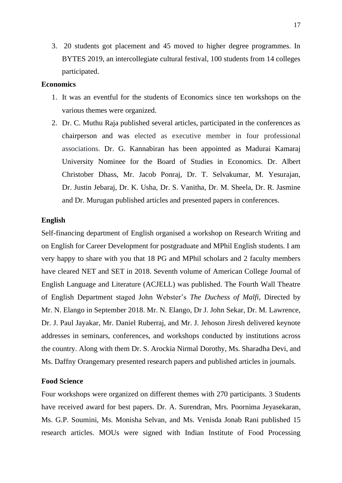3. 20 students got placement and 45 moved to higher degree programmes. In BYTES 2019, an intercollegiate cultural festival, 100 students from 14 colleges participated.

### **Economics**

- 1. It was an eventful for the students of Economics since ten workshops on the various themes were organized.
- 2. Dr. C. Muthu Raja published several articles, participated in the conferences as chairperson and was elected as executive member in four professional associations. Dr. G. Kannabiran has been appointed as Madurai Kamaraj University Nominee for the Board of Studies in Economics. Dr. Albert Christober Dhass, Mr. Jacob Ponraj, Dr. T. Selvakumar, M. Yesurajan, Dr. Justin Jebaraj, Dr. K. Usha, Dr. S. Vanitha, Dr. M. Sheela, Dr. R. Jasmine and Dr. Murugan published articles and presented papers in conferences.

#### **English**

Self-financing department of English organised a workshop on Research Writing and on English for Career Development for postgraduate and MPhil English students. I am very happy to share with you that 18 PG and MPhil scholars and 2 faculty members have cleared NET and SET in 2018. Seventh volume of American College Journal of English Language and Literature (ACJELL) was published. The Fourth Wall Theatre of English Department staged John Webster's *The Duchess of Malfi*, Directed by Mr. N. Elango in September 2018. Mr. N. Elango, Dr J. John Sekar, Dr. M. Lawrence, Dr. J. Paul Jayakar, Mr. Daniel Ruberraj, and Mr. J. Jehoson Jiresh delivered keynote addresses in seminars, conferences, and workshops conducted by institutions across the country. Along with them Dr. S. Arockia Nirmal Dorothy, Ms. Sharadha Devi, and Ms. Daffny Orangemary presented research papers and published articles in journals.

### **Food Science**

Four workshops were organized on different themes with 270 participants. 3 Students have received award for best papers. Dr. A. Surendran, Mrs. Poornima Jeyasekaran, Ms. G.P. Soumini, Ms. Monisha Selvan, and Ms. Venisda Jonab Rani published 15 research articles. MOUs were signed with Indian Institute of Food Processing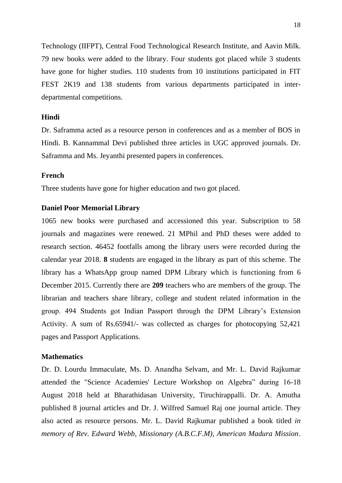Technology (IIFPT), Central Food Technological Research Institute, and Aavin Milk. 79 new books were added to the library. Four students got placed while 3 students have gone for higher studies. 110 students from 10 institutions participated in FIT FEST 2K19 and 138 students from various departments participated in interdepartmental competitions.

### **Hindi**

Dr. Saframma acted as a resource person in conferences and as a member of BOS in Hindi. B. Kannammal Devi published three articles in UGC approved journals. Dr. Saframma and Ms. Jeyanthi presented papers in conferences.

### **French**

Three students have gone for higher education and two got placed.

#### **Daniel Poor Memorial Library**

1065 new books were purchased and accessioned this year. Subscription to 58 journals and magazines were renewed. 21 MPhil and PhD theses were added to research section. 46452 footfalls among the library users were recorded during the calendar year 2018. **8** students are engaged in the library as part of this scheme. The library has a WhatsApp group named DPM Library which is functioning from 6 December 2015. Currently there are **209** teachers who are members of the group. The librarian and teachers share library, college and student related information in the group. 494 Students got Indian Passport through the DPM Library's Extension Activity. A sum of Rs.65941/- was collected as charges for photocopying 52,421 pages and Passport Applications.

#### **Mathematics**

Dr. D. Lourdu Immaculate, Ms. D. Anandha Selvam, and Mr. L. David Rajkumar attended the "Science Academies' Lecture Workshop on Algebra" during 16-18 August 2018 held at Bharathidasan University, Tiruchirappalli. Dr. A. Amutha published 8 journal articles and Dr. J. Wilfred Samuel Raj one journal article. They also acted as resource persons. Mr. L. David Rajkumar published a book titled *in memory of Rev. Edward Webb, Missionary (A.B.C.F.M), American Madura Mission*.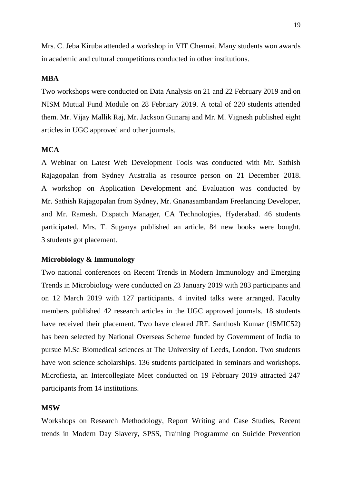Mrs. C. Jeba Kiruba attended a workshop in VIT Chennai. Many students won awards in academic and cultural competitions conducted in other institutions.

### **MBA**

Two workshops were conducted on Data Analysis on 21 and 22 February 2019 and on NISM Mutual Fund Module on 28 February 2019. A total of 220 students attended them. Mr. Vijay Mallik Raj, Mr. Jackson Gunaraj and Mr. M. Vignesh published eight articles in UGC approved and other journals.

### **MCA**

A Webinar on Latest Web Development Tools was conducted with Mr. Sathish Rajagopalan from Sydney Australia as resource person on 21 December 2018. A workshop on Application Development and Evaluation was conducted by Mr. Sathish Rajagopalan from Sydney, Mr. Gnanasambandam Freelancing Developer, and Mr. Ramesh. Dispatch Manager, CA Technologies, Hyderabad. 46 students participated. Mrs. T. Suganya published an article. 84 new books were bought. 3 students got placement.

#### **Microbiology & Immunology**

Two national conferences on Recent Trends in Modern Immunology and Emerging Trends in Microbiology were conducted on 23 January 2019 with 283 participants and on 12 March 2019 with 127 participants. 4 invited talks were arranged. Faculty members published 42 research articles in the UGC approved journals. 18 students have received their placement. Two have cleared JRF. Santhosh Kumar (15MIC52) has been selected by National Overseas Scheme funded by Government of India to pursue M.Sc Biomedical sciences at The University of Leeds, London. Two students have won science scholarships. 136 students participated in seminars and workshops. Microfiesta, an Intercollegiate Meet conducted on 19 February 2019 attracted 247 participants from 14 institutions.

#### **MSW**

Workshops on Research Methodology, Report Writing and Case Studies, Recent trends in Modern Day Slavery, SPSS, Training Programme on Suicide Prevention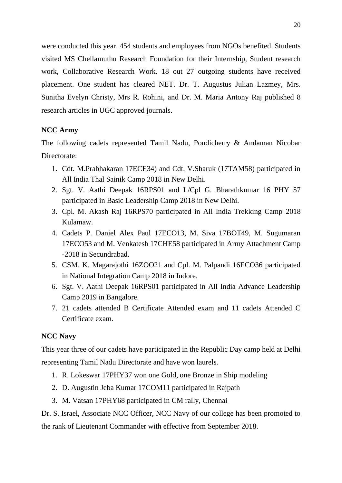were conducted this year. 454 students and employees from NGOs benefited. Students visited MS Chellamuthu Research Foundation for their Internship, Student research work, Collaborative Research Work. 18 out 27 outgoing students have received placement. One student has cleared NET. Dr. T. Augustus Julian Lazmey, Mrs. Sunitha Evelyn Christy, Mrs R. Rohini, and Dr. M. Maria Antony Raj published 8 research articles in UGC approved journals.

# **NCC Army**

The following cadets represented Tamil Nadu, Pondicherry & Andaman Nicobar Directorate:

- 1. Cdt. M.Prabhakaran 17ECE34) and Cdt. V.Sharuk (17TAM58) participated in All India Thal Sainik Camp 2018 in New Delhi.
- 2. Sgt. V. Aathi Deepak 16RPS01 and L/Cpl G. Bharathkumar 16 PHY 57 participated in Basic Leadership Camp 2018 in New Delhi.
- 3. Cpl. M. Akash Raj 16RPS70 participated in All India Trekking Camp 2018 Kulamaw.
- 4. Cadets P. Daniel Alex Paul 17ECO13, M. Siva 17BOT49, M. Sugumaran 17ECO53 and M. Venkatesh 17CHE58 participated in Army Attachment Camp -2018 in Secundrabad.
- 5. CSM. K. Magarajothi 16ZOO21 and Cpl. M. Palpandi 16ECO36 participated in National Integration Camp 2018 in Indore.
- 6. Sgt. V. Aathi Deepak 16RPS01 participated in All India Advance Leadership Camp 2019 in Bangalore.
- 7. 21 cadets attended B Certificate Attended exam and 11 cadets Attended C Certificate exam.

### **NCC Navy**

This year three of our cadets have participated in the Republic Day camp held at Delhi representing Tamil Nadu Directorate and have won laurels.

- 1. R. Lokeswar 17PHY37 won one Gold, one Bronze in Ship modeling
- 2. D. Augustin Jeba Kumar 17COM11 participated in Rajpath
- 3. M. Vatsan 17PHY68 participated in CM rally, Chennai

Dr. S. Israel, Associate NCC Officer, NCC Navy of our college has been promoted to the rank of Lieutenant Commander with effective from September 2018.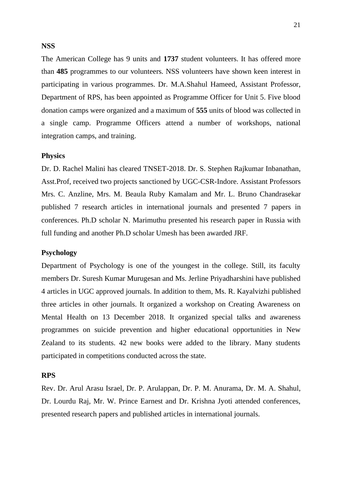### **NSS**

The American College has 9 units and **1737** student volunteers. It has offered more than **485** programmes to our volunteers. NSS volunteers have shown keen interest in participating in various programmes. Dr. M.A.Shahul Hameed, Assistant Professor, Department of RPS, has been appointed as Programme Officer for Unit 5. Five blood donation camps were organized and a maximum of **555** units of blood was collected in a single camp. Programme Officers attend a number of workshops, national integration camps, and training.

#### **Physics**

Dr. D. Rachel Malini has cleared TNSET-2018. Dr. S. Stephen Rajkumar Inbanathan, Asst.Prof, received two projects sanctioned by UGC-CSR-Indore. Assistant Professors Mrs. C. Anzline, Mrs. M. Beaula Ruby Kamalam and Mr. L. Bruno Chandrasekar published 7 research articles in international journals and presented 7 papers in conferences. Ph.D scholar N. Marimuthu presented his research paper in Russia with full funding and another Ph.D scholar Umesh has been awarded JRF.

### **Psychology**

Department of Psychology is one of the youngest in the college. Still, its faculty members Dr. Suresh Kumar Murugesan and Ms. Jerline Priyadharshini have published 4 articles in UGC approved journals. In addition to them, Ms. R. Kayalvizhi published three articles in other journals. It organized a workshop on Creating Awareness on Mental Health on 13 December 2018. It organized special talks and awareness programmes on suicide prevention and higher educational opportunities in New Zealand to its students. 42 new books were added to the library. Many students participated in competitions conducted across the state.

#### **RPS**

Rev. Dr. Arul Arasu Israel, Dr. P. Arulappan, Dr. P. M. Anurama, Dr. M. A. Shahul, Dr. Lourdu Raj, Mr. W. Prince Earnest and Dr. Krishna Jyoti attended conferences, presented research papers and published articles in international journals.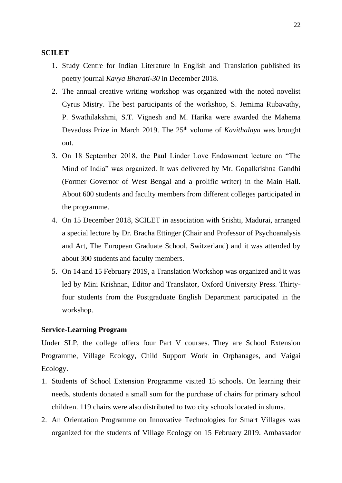#### **SCILET**

- 1. Study Centre for Indian Literature in English and Translation published its poetry journal *Kavya Bharati-30* in December 2018.
- 2. The annual creative writing workshop was organized with the noted novelist Cyrus Mistry. The best participants of the workshop, S. Jemima Rubavathy, P. Swathilakshmi, S.T. Vignesh and M. Harika were awarded the Mahema Devadoss Prize in March 2019. The 25<sup>th</sup> volume of *Kavithalaya* was brought out.
- 3. On 18 September 2018, the Paul Linder Love Endowment lecture on "The Mind of India" was organized. It was delivered by Mr. Gopalkrishna Gandhi (Former Governor of West Bengal and a prolific writer) in the Main Hall. About 600 students and faculty members from different colleges participated in the programme.
- 4. On 15 December 2018, SCILET in association with Srishti, Madurai, arranged a special lecture by Dr. Bracha Ettinger (Chair and Professor of Psychoanalysis and Art, The European Graduate School, Switzerland) and it was attended by about 300 students and faculty members.
- 5. On 14 and 15 February 2019, a Translation Workshop was organized and it was led by Mini Krishnan, Editor and Translator, Oxford University Press. Thirtyfour students from the Postgraduate English Department participated in the workshop.

### **Service-Learning Program**

Under SLP, the college offers four Part V courses. They are School Extension Programme, Village Ecology, Child Support Work in Orphanages, and Vaigai Ecology.

- 1. Students of School Extension Programme visited 15 schools. On learning their needs, students donated a small sum for the purchase of chairs for primary school children. 119 chairs were also distributed to two city schools located in slums.
- 2. An Orientation Programme on Innovative Technologies for Smart Villages was organized for the students of Village Ecology on 15 February 2019. Ambassador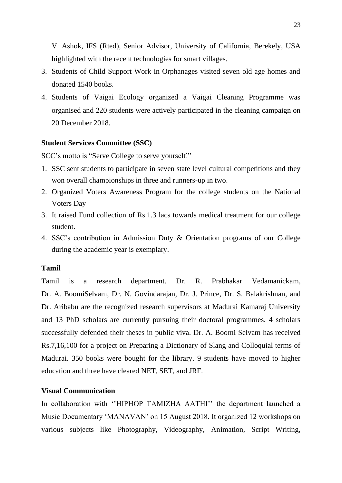V. Ashok, IFS (Rted), Senior Advisor, University of California, Berekely, USA highlighted with the recent technologies for smart villages.

- 3. Students of Child Support Work in Orphanages visited seven old age homes and donated 1540 books.
- 4. Students of Vaigai Ecology organized a Vaigai Cleaning Programme was organised and 220 students were actively participated in the cleaning campaign on 20 December 2018.

#### **Student Services Committee (SSC)**

SCC's motto is "Serve College to serve yourself."

- 1. SSC sent students to participate in seven state level cultural competitions and they won overall championships in three and runners-up in two.
- 2. Organized Voters Awareness Program for the college students on the National Voters Day
- 3. It raised Fund collection of Rs.1.3 lacs towards medical treatment for our college student.
- 4. SSC's contribution in Admission Duty & Orientation programs of our College during the academic year is exemplary.

### **Tamil**

Tamil is a research department. Dr. R. Prabhakar Vedamanickam, Dr. A. BoomiSelvam, Dr. N. Govindarajan, Dr. J. Prince, Dr. S. Balakrishnan, and Dr. Aribabu are the recognized research supervisors at Madurai Kamaraj University and 13 PhD scholars are currently pursuing their doctoral programmes. 4 scholars successfully defended their theses in public viva. Dr. A. Boomi Selvam has received Rs.7,16,100 for a project on Preparing a Dictionary of Slang and Colloquial terms of Madurai. 350 books were bought for the library. 9 students have moved to higher education and three have cleared NET, SET, and JRF.

### **Visual Communication**

In collaboration with ''HIPHOP TAMIZHA AATHI'' the department launched a Music Documentary 'MANAVAN' on 15 August 2018. It organized 12 workshops on various subjects like Photography, Videography, Animation, Script Writing,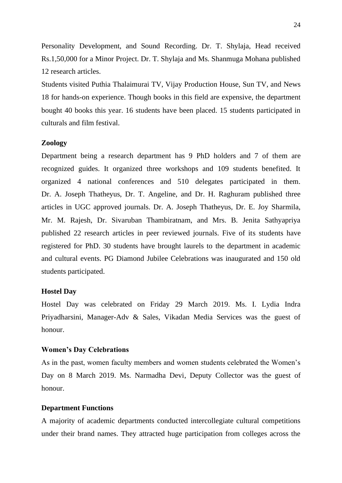Personality Development, and Sound Recording. Dr. T. Shylaja, Head received Rs.1,50,000 for a Minor Project. Dr. T. Shylaja and Ms. Shanmuga Mohana published 12 research articles.

Students visited Puthia Thalaimurai TV, Vijay Production House, Sun TV, and News 18 for hands-on experience. Though books in this field are expensive, the department bought 40 books this year. 16 students have been placed. 15 students participated in culturals and film festival.

#### **Zoology**

Department being a research department has 9 PhD holders and 7 of them are recognized guides. It organized three workshops and 109 students benefited. It organized 4 national conferences and 510 delegates participated in them. Dr. A. Joseph Thatheyus, Dr. T. Angeline, and Dr. H. Raghuram published three articles in UGC approved journals. Dr. A. Joseph Thatheyus, Dr. E. Joy Sharmila, Mr. M. Rajesh, Dr. Sivaruban Thambiratnam, and Mrs. B. Jenita Sathyapriya published 22 research articles in peer reviewed journals. Five of its students have registered for PhD. 30 students have brought laurels to the department in academic and cultural events. PG Diamond Jubilee Celebrations was inaugurated and 150 old students participated.

#### **Hostel Day**

Hostel Day was celebrated on Friday 29 March 2019. Ms. I. Lydia Indra Priyadharsini, Manager-Adv & Sales, Vikadan Media Services was the guest of honour.

#### **Women's Day Celebrations**

As in the past, women faculty members and women students celebrated the Women's Day on 8 March 2019. Ms. Narmadha Devi, Deputy Collector was the guest of honour.

#### **Department Functions**

A majority of academic departments conducted intercollegiate cultural competitions under their brand names. They attracted huge participation from colleges across the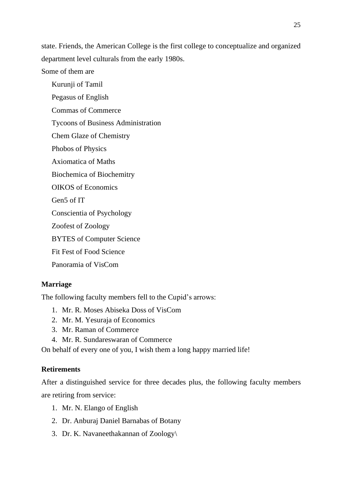state. Friends, the American College is the first college to conceptualize and organized department level culturals from the early 1980s.

Some of them are

Kurunji of Tamil Pegasus of English Commas of Commerce Tycoons of Business Administration Chem Glaze of Chemistry Phobos of Physics Axiomatica of Maths Biochemica of Biochemitry OIKOS of Economics Gen5 of IT Conscientia of Psychology Zoofest of Zoology BYTES of Computer Science Fit Fest of Food Science Panoramia of VisCom

# **Marriage**

The following faculty members fell to the Cupid's arrows:

- 1. Mr. R. Moses Abiseka Doss of VisCom
- 2. Mr. M. Yesuraja of Economics
- 3. Mr. Raman of Commerce
- 4. Mr. R. Sundareswaran of Commerce

On behalf of every one of you, I wish them a long happy married life!

# **Retirements**

After a distinguished service for three decades plus, the following faculty members are retiring from service:

- 1. Mr. N. Elango of English
- 2. Dr. Anburaj Daniel Barnabas of Botany
- 3. Dr. K. Navaneethakannan of Zoology\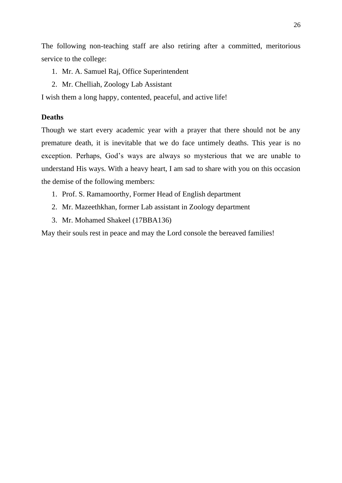The following non-teaching staff are also retiring after a committed, meritorious service to the college:

- 1. Mr. A. Samuel Raj, Office Superintendent
- 2. Mr. Chelliah, Zoology Lab Assistant

I wish them a long happy, contented, peaceful, and active life!

# **Deaths**

Though we start every academic year with a prayer that there should not be any premature death, it is inevitable that we do face untimely deaths. This year is no exception. Perhaps, God's ways are always so mysterious that we are unable to understand His ways. With a heavy heart, I am sad to share with you on this occasion the demise of the following members:

- 1. Prof. S. Ramamoorthy, Former Head of English department
- 2. Mr. Mazeethkhan, former Lab assistant in Zoology department
- 3. Mr. Mohamed Shakeel (17BBA136)

May their souls rest in peace and may the Lord console the bereaved families!